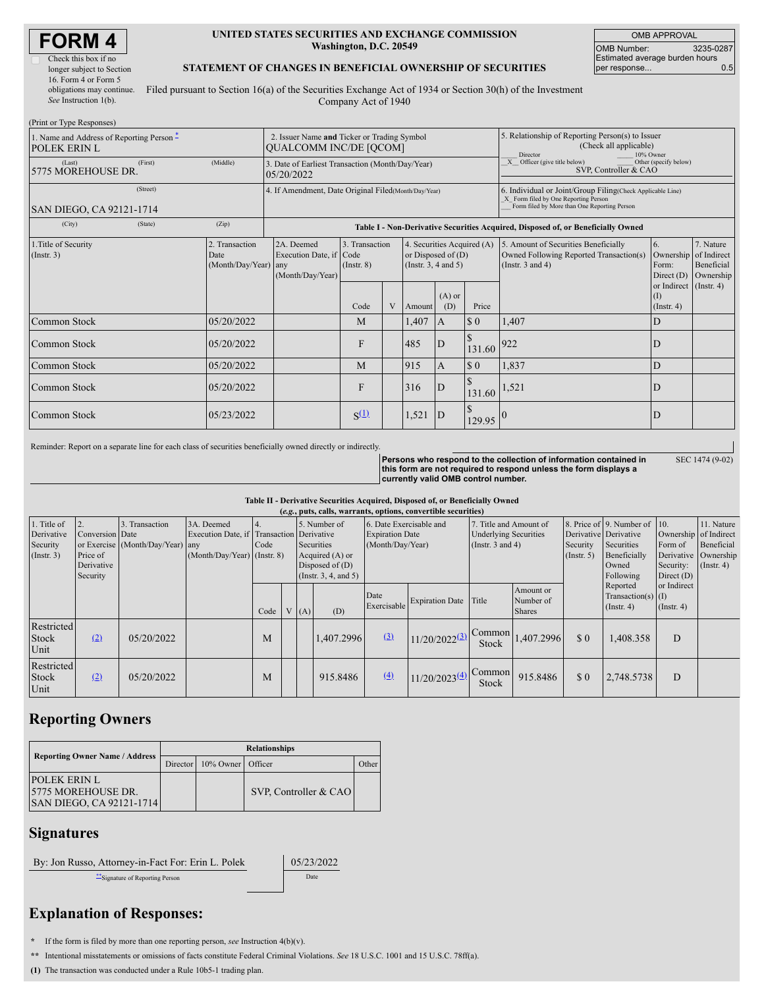| <b>FORM4</b> |  |
|--------------|--|
|              |  |

| Check this box if no      |
|---------------------------|
| longer subject to Section |
| 16. Form 4 or Form 5      |
| obligations may continue. |
| See Instruction 1(b).     |

#### **UNITED STATES SECURITIES AND EXCHANGE COMMISSION Washington, D.C. 20549**

OMB APPROVAL OMB Number: 3235-0287 Estimated average burden hours<br>per response... 0.5 per response..

### **STATEMENT OF CHANGES IN BENEFICIAL OWNERSHIP OF SECURITIES**

Filed pursuant to Section 16(a) of the Securities Exchange Act of 1934 or Section 30(h) of the Investment Company Act of 1940

| (Print or Type Responses)                                 |                                                                                                                                                                                                                                     |                                                                                  |           |                                                                                                                                                                  |        |                                                                                                                                                    |                                                                                                     |       |                                        |                  |
|-----------------------------------------------------------|-------------------------------------------------------------------------------------------------------------------------------------------------------------------------------------------------------------------------------------|----------------------------------------------------------------------------------|-----------|------------------------------------------------------------------------------------------------------------------------------------------------------------------|--------|----------------------------------------------------------------------------------------------------------------------------------------------------|-----------------------------------------------------------------------------------------------------|-------|----------------------------------------|------------------|
| 1. Name and Address of Reporting Person -<br>POLEK ERIN L | 2. Issuer Name and Ticker or Trading Symbol<br><b>OUALCOMM INC/DE [OCOM]</b>                                                                                                                                                        |                                                                                  |           |                                                                                                                                                                  |        |                                                                                                                                                    | 5. Relationship of Reporting Person(s) to Issuer<br>(Check all applicable)<br>10% Owner<br>Director |       |                                        |                  |
| (Last)<br>(First)<br>5775 MOREHOUSE DR.                   | (Middle)                                                                                                                                                                                                                            | 3. Date of Earliest Transaction (Month/Day/Year)<br>05/20/2022                   |           |                                                                                                                                                                  |        |                                                                                                                                                    | $\overline{X}$ Officer (give title below)<br>Other (specify below)<br>SVP, Controller & CAO         |       |                                        |                  |
| (Street)<br>SAN DIEGO, CA 92121-1714                      | 4. If Amendment, Date Original Filed (Month/Day/Year)                                                                                                                                                                               |                                                                                  |           |                                                                                                                                                                  |        | 6. Individual or Joint/Group Filing(Check Applicable Line)<br>X Form filed by One Reporting Person<br>Form filed by More than One Reporting Person |                                                                                                     |       |                                        |                  |
| (City)<br>(State)                                         | (Zip)                                                                                                                                                                                                                               | Table I - Non-Derivative Securities Acquired, Disposed of, or Beneficially Owned |           |                                                                                                                                                                  |        |                                                                                                                                                    |                                                                                                     |       |                                        |                  |
| 1. Title of Security<br>$($ Instr. 3 $)$                  | 2. Transaction<br>2A. Deemed<br>3. Transaction<br>4. Securities Acquired (A)<br>Execution Date, if Code<br>or Disposed of $(D)$<br>Date<br>(Month/Day/Year) any<br>$($ Instr $, 8)$<br>(Instr. $3, 4$ and $5$ )<br>(Month/Day/Year) |                                                                                  |           | 5. Amount of Securities Beneficially<br>6.<br>Owned Following Reported Transaction(s)<br>Ownership of Indirect<br>(Instr. $3$ and $4$ )<br>Form:<br>Direct $(D)$ |        | 7. Nature<br>Beneficial<br>Ownership                                                                                                               |                                                                                                     |       |                                        |                  |
|                                                           |                                                                                                                                                                                                                                     |                                                                                  | Code      | V                                                                                                                                                                | Amount | $(A)$ or<br>(D)                                                                                                                                    | Price                                                                                               |       | or Indirect<br>(1)<br>$($ Instr. 4 $)$ | $($ Instr. 4 $)$ |
| Common Stock                                              | 05/20/2022                                                                                                                                                                                                                          |                                                                                  | M         |                                                                                                                                                                  | 1,407  | $\mathbf{A}$                                                                                                                                       | $\sqrt{5}0$                                                                                         | 1,407 | D                                      |                  |
| Common Stock                                              | 05/20/2022                                                                                                                                                                                                                          |                                                                                  | F         |                                                                                                                                                                  | 485    | ID                                                                                                                                                 | 131.60                                                                                              | 922   | D                                      |                  |
| Common Stock                                              | 05/20/2022                                                                                                                                                                                                                          |                                                                                  | M         |                                                                                                                                                                  | 915    | IA.                                                                                                                                                | $\sqrt{5}0$                                                                                         | 1,837 | D                                      |                  |
| Common Stock                                              | 05/20/2022                                                                                                                                                                                                                          |                                                                                  | F         |                                                                                                                                                                  | 316    | $\mathbf{D}$                                                                                                                                       | 131.60                                                                                              | 1,521 | D                                      |                  |
| Common Stock                                              | 05/23/2022                                                                                                                                                                                                                          |                                                                                  | $S^{(1)}$ |                                                                                                                                                                  | 1,521  | ID                                                                                                                                                 | 129.95                                                                                              |       |                                        |                  |

Reminder: Report on a separate line for each class of securities beneficially owned directly or indirectly.

**Persons who respond to the collection of information contained in this form are not required to respond unless the form displays a currently valid OMB control number.**

SEC 1474 (9-02)

## **Table II - Derivative Securities Acquired, Disposed of, or Beneficially Owned**

| 8. Price of 9. Number of 10. |                                                                                                                                                                                                                                                                  |
|------------------------------|------------------------------------------------------------------------------------------------------------------------------------------------------------------------------------------------------------------------------------------------------------------|
|                              | 11. Nature                                                                                                                                                                                                                                                       |
|                              |                                                                                                                                                                                                                                                                  |
| Form of                      | Beneficial                                                                                                                                                                                                                                                       |
|                              | Ownership                                                                                                                                                                                                                                                        |
|                              | $($ Instr. 4 $)$                                                                                                                                                                                                                                                 |
|                              |                                                                                                                                                                                                                                                                  |
|                              |                                                                                                                                                                                                                                                                  |
|                              |                                                                                                                                                                                                                                                                  |
|                              |                                                                                                                                                                                                                                                                  |
|                              |                                                                                                                                                                                                                                                                  |
| D                            |                                                                                                                                                                                                                                                                  |
|                              |                                                                                                                                                                                                                                                                  |
|                              |                                                                                                                                                                                                                                                                  |
| D                            |                                                                                                                                                                                                                                                                  |
|                              |                                                                                                                                                                                                                                                                  |
|                              | Derivative Derivative<br>Ownership of Indirect<br>Securities<br>Derivative<br>Beneficially<br>Security:<br>Owned<br>Following<br>Direct $(D)$<br>or Indirect<br>Reported<br>$Transaction(s)$ (I)<br>$($ Instr. 4)<br>$($ Instr. 4 $)$<br>1,408.358<br>2,748.5738 |

# **Reporting Owners**

| <b>Reporting Owner Name / Address</b>                                          | <b>Relationships</b> |              |                       |       |  |  |  |
|--------------------------------------------------------------------------------|----------------------|--------------|-----------------------|-------|--|--|--|
|                                                                                | Director             | $10\%$ Owner | Officer               | Other |  |  |  |
| <b>IPOLEK ERIN L</b><br>15775 MOREHOUSE DR.<br><b>SAN DIEGO, CA 92121-1714</b> |                      |              | SVP, Controller & CAO |       |  |  |  |

## **Signatures**

By: Jon Russo, Attorney-in-Fact For: Erin L. Polek 05/23/2022

\*\*Signature of Reporting Person Date

# **Explanation of Responses:**

**\*** If the form is filed by more than one reporting person, *see* Instruction 4(b)(v).

**\*\*** Intentional misstatements or omissions of facts constitute Federal Criminal Violations. *See* 18 U.S.C. 1001 and 15 U.S.C. 78ff(a).

**(1)** The transaction was conducted under a Rule 10b5-1 trading plan.